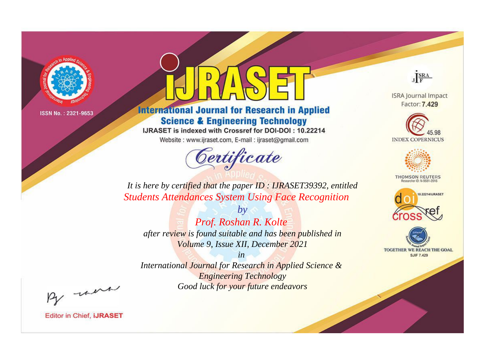

# **International Journal for Research in Applied Science & Engineering Technology**

IJRASET is indexed with Crossref for DOI-DOI: 10.22214

Website: www.ijraset.com, E-mail: ijraset@gmail.com



JERA

**ISRA Journal Impact** Factor: 7.429





**THOMSON REUTERS** 



TOGETHER WE REACH THE GOAL **SJIF 7.429** 

It is here by certified that the paper ID : IJRASET39392, entitled **Students Attendances System Using Face Recognition** 

 $b\nu$ Prof. Roshan R. Kolte after review is found suitable and has been published in Volume 9, Issue XII, December 2021

 $in$ International Journal for Research in Applied Science & **Engineering Technology** Good luck for your future endeavors

By morn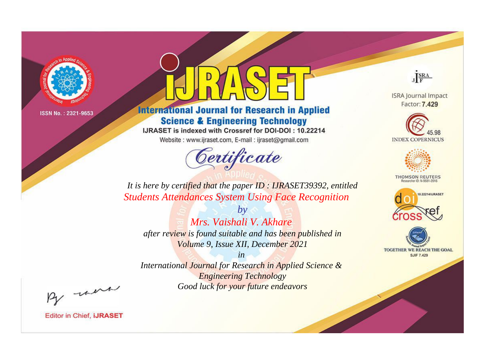

# **International Journal for Research in Applied Science & Engineering Technology**

IJRASET is indexed with Crossref for DOI-DOI: 10.22214

Website: www.ijraset.com, E-mail: ijraset@gmail.com



JERA

**ISRA Journal Impact** Factor: 7.429





**THOMSON REUTERS** 



TOGETHER WE REACH THE GOAL **SJIF 7.429** 

It is here by certified that the paper ID : IJRASET39392, entitled **Students Attendances System Using Face Recognition** 

 $b\nu$ Mrs. Vaishali V. Akhare after review is found suitable and has been published in Volume 9, Issue XII, December 2021

 $in$ International Journal for Research in Applied Science & **Engineering Technology** Good luck for your future endeavors

By morn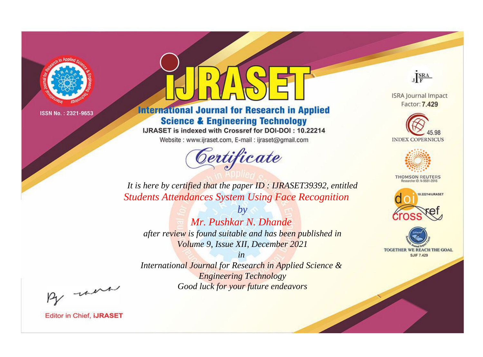

# **International Journal for Research in Applied Science & Engineering Technology**

IJRASET is indexed with Crossref for DOI-DOI: 10.22214

Website: www.ijraset.com, E-mail: ijraset@gmail.com



JERA

**ISRA Journal Impact** Factor: 7.429





**THOMSON REUTERS** 



TOGETHER WE REACH THE GOAL **SJIF 7.429** 

It is here by certified that the paper ID : IJRASET39392, entitled **Students Attendances System Using Face Recognition** 

 $b\nu$ Mr. Pushkar N. Dhande after review is found suitable and has been published in Volume 9, Issue XII, December 2021

 $in$ International Journal for Research in Applied Science & **Engineering Technology** Good luck for your future endeavors

By morn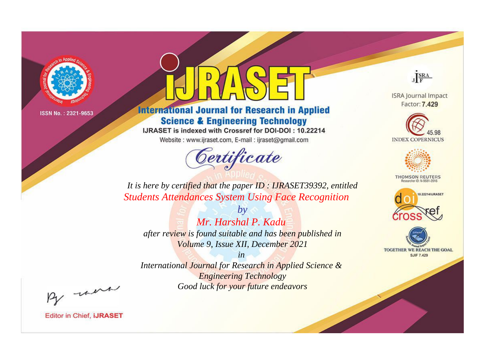

# **International Journal for Research in Applied Science & Engineering Technology**

IJRASET is indexed with Crossref for DOI-DOI: 10.22214

Website: www.ijraset.com, E-mail: ijraset@gmail.com



JERA

**ISRA Journal Impact** Factor: 7.429





**THOMSON REUTERS** 



TOGETHER WE REACH THE GOAL **SJIF 7.429** 

It is here by certified that the paper ID : IJRASET39392, entitled **Students Attendances System Using Face Recognition** 

 $b\nu$ Mr. Harshal P. Kadu after review is found suitable and has been published in Volume 9, Issue XII, December 2021

 $in$ International Journal for Research in Applied Science & **Engineering Technology** Good luck for your future endeavors

By morn